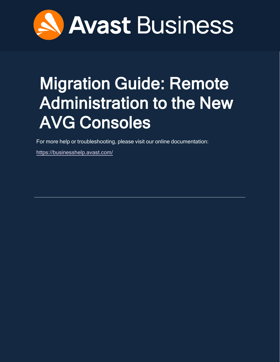

# <span id="page-0-0"></span>Migration Guide: Remote Administration to the New AVG Consoles

For more help or troubleshooting, please visit our online documentation:

<https://businesshelp.avast.com/>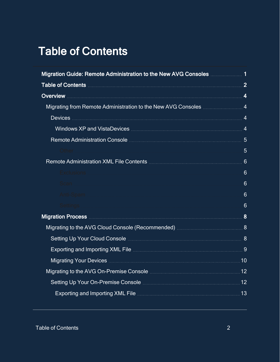# <span id="page-1-0"></span>Table of Contents

| Migration Guide: Remote Administration to the New AVG Consoles  1                                                                     |                 |  |
|---------------------------------------------------------------------------------------------------------------------------------------|-----------------|--|
|                                                                                                                                       |                 |  |
|                                                                                                                                       |                 |  |
|                                                                                                                                       |                 |  |
|                                                                                                                                       |                 |  |
|                                                                                                                                       |                 |  |
|                                                                                                                                       |                 |  |
| Other                                                                                                                                 | 5               |  |
|                                                                                                                                       | $6\phantom{1}6$ |  |
|                                                                                                                                       | $6\phantom{1}$  |  |
| Scan a                                                                                                                                | $6\phantom{1}6$ |  |
|                                                                                                                                       | $6\phantom{1}6$ |  |
|                                                                                                                                       | $6\phantom{1}6$ |  |
| Migration Process <b>Migration</b> Process <b>Migration</b> Books and the Communication of the Construction Communication of <b>8</b> |                 |  |
|                                                                                                                                       |                 |  |
|                                                                                                                                       |                 |  |
| Exporting and Importing XML File <b>Manual Access 2019</b> 3                                                                          |                 |  |
|                                                                                                                                       |                 |  |
|                                                                                                                                       |                 |  |
|                                                                                                                                       |                 |  |
| Exporting and Importing XML File <b>Manual Access 2018</b> 23                                                                         |                 |  |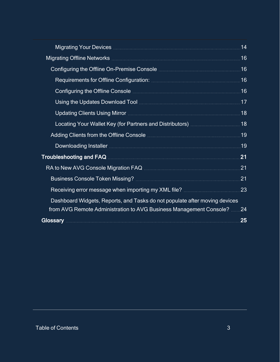| Migrating Your Devices <b>Migration Community</b> Contract and Theorem Community Community Community Community Community                                                                                                             | 14              |
|--------------------------------------------------------------------------------------------------------------------------------------------------------------------------------------------------------------------------------------|-----------------|
|                                                                                                                                                                                                                                      | .16             |
|                                                                                                                                                                                                                                      | 16              |
|                                                                                                                                                                                                                                      | .16             |
|                                                                                                                                                                                                                                      | .16             |
|                                                                                                                                                                                                                                      |                 |
| Updating Clients Using Mirror <b>Microsoft Access 28</b>                                                                                                                                                                             |                 |
|                                                                                                                                                                                                                                      | .18             |
|                                                                                                                                                                                                                                      | 19              |
|                                                                                                                                                                                                                                      | 19              |
|                                                                                                                                                                                                                                      | $\overline{21}$ |
|                                                                                                                                                                                                                                      | .21             |
|                                                                                                                                                                                                                                      | 21              |
|                                                                                                                                                                                                                                      | 23              |
| Dashboard Widgets, Reports, and Tasks do not populate after moving devices                                                                                                                                                           |                 |
| from AVG Remote Administration to AVG Business Management Console? 24                                                                                                                                                                |                 |
| Glossary <b>Research Manual Control of the Control of the Control of the Control of Tennis Control of the Control of Tennis Control of Tennis Control of Tennis Control of Tennis Control of Tennis Control of Tennis Control of</b> | 25              |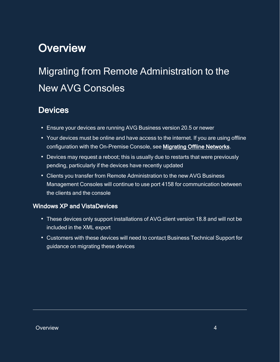## <span id="page-3-1"></span><span id="page-3-0"></span>**Overview**

# <span id="page-3-2"></span>Migrating from Remote Administration to the New AVG Consoles

## **Devices**

- Ensure your devices are running AVG Business version 20.5 or newer
- Your devices must be online and have access to the internet. If you are using offline configuration with the On-Premise Console, see [Migrating Offline Networks](#page-15-0).
- Devices may request a reboot; this is usually due to restarts that were previously pending, particularly if the devices have recently updated
- Clients you transfer from Remote Administration to the new AVG Business Management Consoles will continue to use port 4158 for communication between the clients and the console

## <span id="page-3-3"></span>Windows XP and VistaDevices

- These devices only support installations of AVG client version 18.8 and will not be included in the XML export
- Customers with these devices will need to contact Business Technical Support for guidance on migrating these devices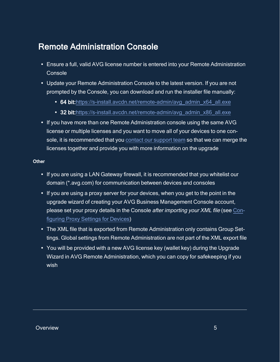## <span id="page-4-0"></span>Remote Administration Console

- Ensure a full, valid AVG license number is entered into your Remote Administration **Console**
- Update your Remote Administration Console to the latest version. If you are not prompted by the Console, you can download and run the installer file manually:
	- 64 bit:[https://s-install.avcdn.net/remote-admin/avg\\_admin\\_x64\\_all.exe](https://s-install.avcdn.net/remote-admin/avg_admin_x64_all.exe)
	- 32 bit:[https://s-install.avcdn.net/remote-admin/avg\\_admin\\_x86\\_all.exe](https://s-install.avcdn.net/remote-admin/avg_admin_x86_all.exe)
- If you have more than one Remote Administration console using the same AVG license or multiple licenses and you want to move all of your devices to one console, it is recommended that you contact our [support](https://www.avast.com/business-support-contact) team so that we can merge the licenses together and provide you with more information on the upgrade

#### <span id="page-4-1"></span>**Other**

- If you are using a LAN Gateway firewall, it is recommended that you whitelist our domain (\*.avg.com) for communication between devices and consoles
- If you are using a proxy server for your devices, when you get to the point in the upgrade wizard of creating your AVG Business Management Console account, please set your proxy details in the Console after importing your XML file (see [Con](https://businesshelp.avast.com/Content/Products/AVG_Management_Consoles/ConfiguringSettingsandPolicies/ConfiguringProxySettingsforDevices.htm)figuring Proxy [Settings](https://businesshelp.avast.com/Content/Products/AVG_Management_Consoles/ConfiguringSettingsandPolicies/ConfiguringProxySettingsforDevices.htm) for Devices)
- The XML file that is exported from Remote Administration only contains Group Settings. Global settings from Remote Administration are not part of the XML export file
- You will be provided with a new AVG license key (wallet key) during the Upgrade Wizard in AVG Remote Administration, which you can copy for safekeeping if you wish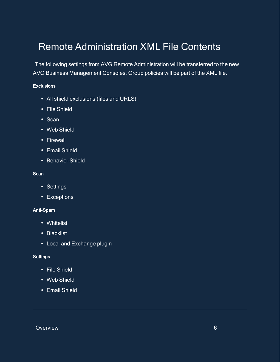## <span id="page-5-0"></span>Remote Administration XML File Contents

The following settings from AVG Remote Administration will be transferred to the new AVG Business Management Consoles. Group policies will be part of the XML file.

#### <span id="page-5-1"></span>**Exclusions**

- All shield exclusions (files and URLS)
- File Shield
- Scan
- Web Shield
- Firewall
- Email Shield
- <span id="page-5-2"></span>• Behavior Shield

#### **Scan**

- Settings
- <span id="page-5-3"></span>• Exceptions

#### Anti-Spam

- Whitelist
- Blacklist
- <span id="page-5-4"></span>• Local and Exchange plugin

#### **Settings**

- File Shield
- Web Shield
- Email Shield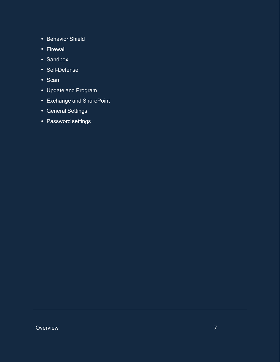- Behavior Shield
- Firewall
- Sandbox
- Self-Defense
- $\cdot$  Scan
- Update and Program
- Exchange and SharePoint
- General Settings
- Password settings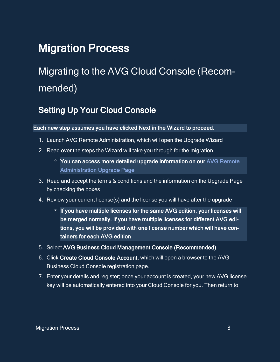## <span id="page-7-1"></span><span id="page-7-0"></span>Migration Process

# <span id="page-7-2"></span>Migrating to the AVG Cloud Console (Recommended)

## Setting Up Your Cloud Console

Each new step assumes you have clicked Next in the Wizard to proceed.

- 1. Launch AVG Remote Administration, which will open the Upgrade Wizard
- 2. Read over the steps the Wizard will take you through for the migration
	- **<sup>o</sup>** You can access more detailed upgrade information on our [AVG Remote](http://www.avg.com/business-upgrade)  [Administration Upgrade Page](http://www.avg.com/business-upgrade)
- 3. Read and accept the terms & conditions and the information on the Upgrade Page by checking the boxes
- 4. Review your current license(s) and the license you will have after the upgrade
	- **o** If you have multiple licenses for the same AVG edition, your licenses will be merged normally. If you have multiple licenses for different AVG editions, you will be provided with one license number which will have containers for each AVG edition
- 5. Select AVG Business Cloud Management Console (Recommended)
- 6. Click Create Cloud Console Account, which will open a browser to the AVG Business Cloud Console registration page.
- 7. Enter your details and register; once your account is created, your new AVG license key will be automatically entered into your Cloud Console for you. Then return to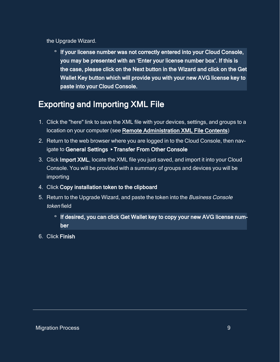### the Upgrade Wizard.

 **o** If your license number was not correctly entered into your Cloud Console, you may be presented with an 'Enter your license number box'. If this is the case, please click on the Next button in the Wizard and click on the Get Wallet Key button which will provide you with your new AVG license key to paste into your Cloud Console.

## <span id="page-8-0"></span>Exporting and Importing XML File

- 1. Click the "here" link to save the XML file with your devices, settings, and groups to a location on your computer (see [Remote Administration XML File Contents\)](#page-5-0)
- 2. Return to the web browser where you are logged in to the Cloud Console, then navigate to General Settings ▸ Transfer From Other Console
- 3. Click Import XML, locate the XML file you just saved, and import it into your Cloud Console. You will be provided with a summary of groups and devices you will be importing
- 4. Click Copy installation token to the clipboard
- 5. Return to the Upgrade Wizard, and paste the token into the Business Console token field
	- **o** If desired, you can click Get Wallet key to copy your new AVG license number
- 6. Click Finish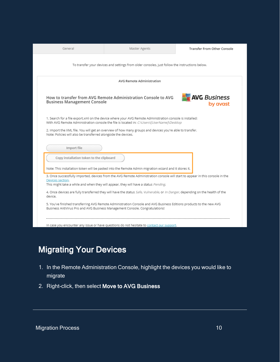| General                                                                                                                                                                                                | Master Agents                                                                                                                                                                                       | Transfer From Other Console     |  |  |
|--------------------------------------------------------------------------------------------------------------------------------------------------------------------------------------------------------|-----------------------------------------------------------------------------------------------------------------------------------------------------------------------------------------------------|---------------------------------|--|--|
|                                                                                                                                                                                                        | To transfer your devices and settings from older consoles, just follow the instructions below.                                                                                                      |                                 |  |  |
| <b>AVG Remote Administration</b>                                                                                                                                                                       |                                                                                                                                                                                                     |                                 |  |  |
| <b>Business Management Console</b>                                                                                                                                                                     | How to transfer from AVG Remote Administration Console to AVG                                                                                                                                       | <b>AVG</b> Business<br>by avast |  |  |
| 1. Search for a file export.xml on the device where your AVG Remote Administration console is installed:<br>With AVG Remote Administration console the file is located in: C:\Users\[UserName]\Desktop |                                                                                                                                                                                                     |                                 |  |  |
|                                                                                                                                                                                                        |                                                                                                                                                                                                     |                                 |  |  |
|                                                                                                                                                                                                        | 2. Import the XML file. You will get an overview of how many groups and devices you're able to transfer.                                                                                            |                                 |  |  |
| Note: Policies will also be transferred alongside the devices.                                                                                                                                         |                                                                                                                                                                                                     |                                 |  |  |
| Import file                                                                                                                                                                                            |                                                                                                                                                                                                     |                                 |  |  |
|                                                                                                                                                                                                        |                                                                                                                                                                                                     |                                 |  |  |
| Copy installation token to the clipboard                                                                                                                                                               |                                                                                                                                                                                                     |                                 |  |  |
|                                                                                                                                                                                                        | Note: This installation token will be pasted into the Remote Admin migration wizard and it stores it.                                                                                               |                                 |  |  |
|                                                                                                                                                                                                        | 3. Once successfully imported, devices from the AVG Remote Administration console will start to appear in this console in the                                                                       |                                 |  |  |
| Devices section.                                                                                                                                                                                       | This might take a while and when they will appear, they will have a status Pending.                                                                                                                 |                                 |  |  |
| device.                                                                                                                                                                                                | 4. Once devices are fully transferred they will have the status Safe, Vulnerable, or In Danger, depending on the health of the                                                                      |                                 |  |  |
|                                                                                                                                                                                                        | 5. You've finished transferring AVG Remote Administration Console and AVG Business Editions products to the new AVG<br>Business AntiVirus Pro and AVG Business Management Console. Congratulations! |                                 |  |  |

## <span id="page-9-0"></span>Migrating Your Devices

- 1. In the Remote Administration Console, highlight the devices you would like to migrate
- 2. Right-click, then select Move to AVG Business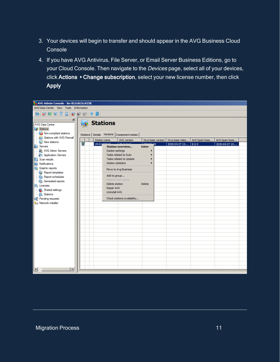- 3. Your devices will begin to transfer and should appear in the AVG Business Cloud **Console**
- 4. If you have AVG Antivirus, File Server, or Email Server Business Editions, go to your Cloud Console. Then navigate to the Devices page, select all of your devices, click Actions ▸ Change subscription, select your new license number, then click Apply

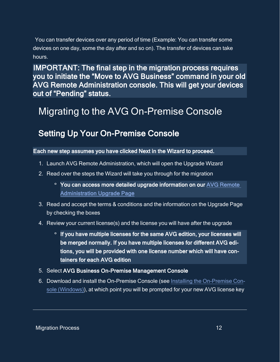You can transfer devices over any period of time (Example: You can transfer some devices on one day, some the day after and so on). The transfer of devices can take hours.

IMPORTANT: The final step in the migration process requires you to initiate the "Move to AVG Business" command in your old AVG Remote Administration console. This will get your devices out of "Pending" status.

## <span id="page-11-1"></span><span id="page-11-0"></span>Migrating to the AVG On-Premise Console

## Setting Up Your On-Premise Console

### Each new step assumes you have clicked Next in the Wizard to proceed.

- 1. Launch AVG Remote Administration, which will open the Upgrade Wizard
- 2. Read over the steps the Wizard will take you through for the migration
	- **<sup>o</sup>** You can access more detailed upgrade information on our [AVG Remote](http://www.avg.com/business-upgrade)  [Administration Upgrade Page](http://www.avg.com/business-upgrade)
- 3. Read and accept the terms & conditions and the information on the Upgrade Page by checking the boxes
- 4. Review your current license(s) and the license you will have after the upgrade
	- **o** If you have multiple licenses for the same AVG edition, your licenses will be merged normally. If you have multiple licenses for different AVG editions, you will be provided with one license number which will have containers for each AVG edition
- 5. Select AVG Business On-Premise Management Console
- 6. Download and install the On-Premise Console (see Installing the [On-Premise](https://businesshelp.avast.com/Content/Products/AVG_Management_Consoles/ConsoleManagement/InstallingtheOn-PremiseConsoleWindows.htm) Console [\(Windows\)\)](https://businesshelp.avast.com/Content/Products/AVG_Management_Consoles/ConsoleManagement/InstallingtheOn-PremiseConsoleWindows.htm), at which point you will be prompted for your new AVG license key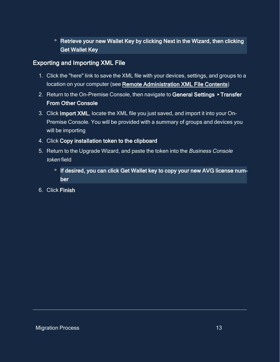## **<sup>o</sup>** Retrieve your new Wallet Key by clicking Next in the Wizard, then clicking Get Wallet Key

## <span id="page-12-0"></span>Exporting and Importing XML File

- 1. Click the "here" link to save the XML file with your devices, settings, and groups to a location on your computer (see [Remote Administration XML File Contents\)](#page-5-0)
- 2. Return to the On-Premise Console, then navigate to General Settings ▸ Transfer From Other Console
- 3. Click Import XML, locate the XML file you just saved, and import it into your On-Premise Console. You will be provided with a summary of groups and devices you will be importing
- 4. Click Copy installation token to the clipboard
- 5. Return to the Upgrade Wizard, and paste the token into the Business Console token field
	- **o** If desired, you can click Get Wallet key to copy your new AVG license number
- 6. Click Finish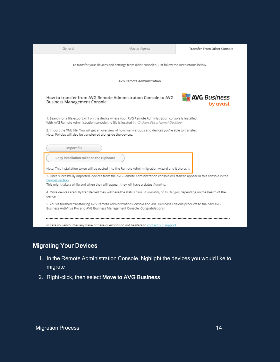|                                                                | Master Agents                                                                                                                                                                                                        | Transfer From Other Console     |  |  |
|----------------------------------------------------------------|----------------------------------------------------------------------------------------------------------------------------------------------------------------------------------------------------------------------|---------------------------------|--|--|
|                                                                | To transfer your devices and settings from older consoles, just follow the instructions below.                                                                                                                       |                                 |  |  |
| <b>AVG Remote Administration</b>                               |                                                                                                                                                                                                                      |                                 |  |  |
| <b>Business Management Console</b>                             | How to transfer from AVG Remote Administration Console to AVG                                                                                                                                                        | <b>AVG</b> Business<br>by avast |  |  |
|                                                                | 1. Search for a file export.xml on the device where your AVG Remote Administration console is installed:<br>With AVG Remote Administration console the file is located in: C:\Users\[UserName]\Desktop               |                                 |  |  |
| Note: Policies will also be transferred alongside the devices. | 2. Import the XML file. You will get an overview of how many groups and devices you're able to transfer.                                                                                                             |                                 |  |  |
| Import file                                                    |                                                                                                                                                                                                                      |                                 |  |  |
|                                                                |                                                                                                                                                                                                                      |                                 |  |  |
| Copy installation token to the clipboard                       |                                                                                                                                                                                                                      |                                 |  |  |
|                                                                | Note: This installation token will be pasted into the Remote Admin migration wizard and it stores it.                                                                                                                |                                 |  |  |
| Devices section.                                               | 3. Once successfully imported, devices from the AVG Remote Administration console will start to appear in this console in the<br>This might take a while and when they will appear, they will have a status Pending. |                                 |  |  |
| device.                                                        | 4. Once devices are fully transferred they will have the status Safe, Vulnerable, or In Danger, depending on the health of the                                                                                       |                                 |  |  |
|                                                                | 5. You've finished transferring AVG Remote Administration Console and AVG Business Editions products to the new AVG<br>Business AntiVirus Pro and AVG Business Management Console. Congratulations!                  |                                 |  |  |

## <span id="page-13-0"></span>Migrating Your Devices

- 1. In the Remote Administration Console, highlight the devices you would like to migrate
- 2. Right-click, then select Move to AVG Business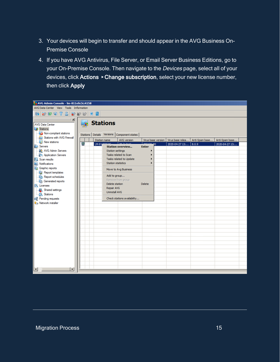- 3. Your devices will begin to transfer and should appear in the AVG Business On-Premise Console
- 4. If you have AVG Antivirus, File Server, or Email Server Business Editions, go to your On-Premise Console. Then navigate to the Devices page, select all of your devices, click Actions ▸ Change subscription, select your new license number, then click Apply

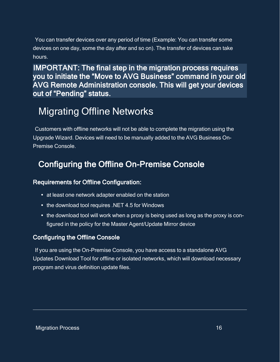You can transfer devices over any period of time (Example: You can transfer some devices on one day, some the day after and so on). The transfer of devices can take hours.

IMPORTANT: The final step in the migration process requires you to initiate the "Move to AVG Business" command in your old AVG Remote Administration console. This will get your devices out of "Pending" status.

## <span id="page-15-0"></span>Migrating Offline Networks

<span id="page-15-1"></span>Customers with offline networks will not be able to complete the migration using the Upgrade Wizard. Devices will need to be manually added to the AVG Business On-Premise Console.

## Configuring the Offline On-Premise Console

## <span id="page-15-2"></span>Requirements for Offline Configuration:

- at least one network adapter enabled on the station
- the download tool requires .NET 4.5 for Windows
- the download tool will work when a proxy is being used as long as the proxy is configured in the policy for the Master Agent/Update Mirror device

## <span id="page-15-3"></span>Configuring the Offline Console

If you are using the On-Premise Console, you have access to a standalone AVG Updates Download Tool for offline or isolated networks, which will download necessary program and virus definition update files.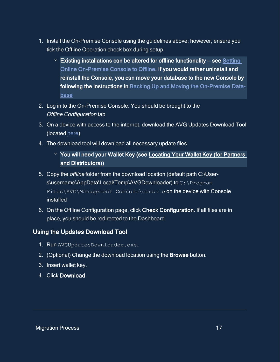- 1. Install the On-Premise Console using the guidelines above; however, ensure you tick the Offline Operation check box during setup
	- **<sup>o</sup>** Existing installations can be altered for offline functionality see [Setting](https://businesshelp.avast.com/Content/Products/AVG_Management_Consoles/ConsoleManagement/SettingOfflineOn-PremiseConsoletoOnline.htm#top)  [Online On-Premise Console to Offline](https://businesshelp.avast.com/Content/Products/AVG_Management_Consoles/ConsoleManagement/SettingOfflineOn-PremiseConsoletoOnline.htm#top). If you would rather uninstall and reinstall the Console, you can move your database to the new Console by following the instructions in [Backing Up and Moving the On-Premise Data](https://businesshelp.avast.com/Content/Products/AVG_Management_Consoles/ConsoleManagement/BackingUpandMovingtheOn-PremiseDatabase.htm)[base](https://businesshelp.avast.com/Content/Products/AVG_Management_Consoles/ConsoleManagement/BackingUpandMovingtheOn-PremiseDatabase.htm)
- 2. Log in to the On-Premise Console. You should be brought to the Offline Configuration tab
- 3. On a device with access to the internet, download the AVG Updates Download Tool (located [here\)](https://install.avcdn.net/smbdownloadtool/AVGUpdatesDownloader.exe)
- 4. The download tool will download all necessary update files
	- **<sup>o</sup>** You will need your Wallet Key (see [Locating Your Wallet Key \(for Partners](#page-17-1)  [and Distributors\)\)](#page-17-1)
- 5. Copy the offline folder from the download location (default path C:\Users\username\AppData\Local\Temp\AVGDownloader) to C:\Program Files\AVG\Management Console\console on the device with Console installed
- 6. On the Offline Configuration page, click Check Configuration. If all files are in place, you should be redirected to the Dashboard

## <span id="page-16-0"></span>Using the Updates Download Tool

- 1. Run AVGUpdatesDownloader.exe.
- 2. (Optional) Change the download location using the Browse button.
- 3. Insert wallet key.
- 4. Click Download.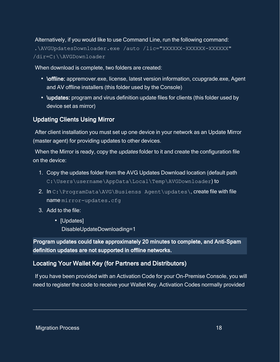Alternatively, if you would like to use Command Line, run the following command:

.\AVGUpdatesDownloader.exe /auto /lic="XXXXXX-XXXXXX-XXXXXX" /dir=C:\\AVGDownloader

When download is complete, two folders are created:

- \offline: appremover.exe, license, latest version information, ccupgrade.exe, Agent and AV offline installers (this folder used by the Console)
- \updates: program and virus definition update files for clients (this folder used by device set as mirror)

## <span id="page-17-0"></span>Updating Clients Using Mirror

After client installation you must set up one device in your network as an Update Mirror (master agent) for providing updates to other devices.

When the Mirror is ready, copy the *updates* folder to it and create the configuration file on the device:

- 1. Copy the updates folder from the AVG Updates Download location (default path C:\Users\username\AppData\Local\Temp\AVGDownloader) to
- 2. In C:\ProgramData\AVG\Busienss Agent\updates\, create file with file name mirror-updates.cfg
- 3. Add to the file:
	- [Updates] DisableUpdateDownloading=1

Program updates could take approximately 20 minutes to complete, and Anti-Spam definition updates are not supported in offline networks.

## <span id="page-17-1"></span>Locating Your Wallet Key (for Partners and Distributors)

If you have been provided with an Activation Code for your On-Premise Console, you will need to register the code to receive your Wallet Key. Activation Codes normally provided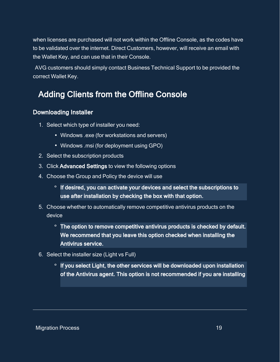when licenses are purchased will not work within the Offline Console, as the codes have to be validated over the internet. Direct Customers, however, will receive an email with the Wallet Key, and can use that in their Console.

<span id="page-18-0"></span>AVG customers should simply contact Business Technical Support to be provided the correct Wallet Key.

## Adding Clients from the Offline Console

### <span id="page-18-1"></span>Downloading Installer

- 1. Select which type of installer you need:
	- Windows .exe (for workstations and servers)
	- Windows .msi (for deployment using GPO)
- 2. Select the subscription products
- 3. Click Advanced Settings to view the following options
- 4. Choose the Group and Policy the device will use
	- **o** If desired, you can activate your devices and select the subscriptions to use after installation by checking the box with that option.
- 5. Choose whether to automatically remove competitive antivirus products on the device
	- **<sup>o</sup>** The option to remove competitive antivirus products is checked by default. We recommend that you leave this option checked when installing the Antivirus service.
- 6. Select the installer size (Light vs Full)
	- **o** If you select Light, the other services will be downloaded upon installation of the Antivirus agent. This option is not recommended if you are installing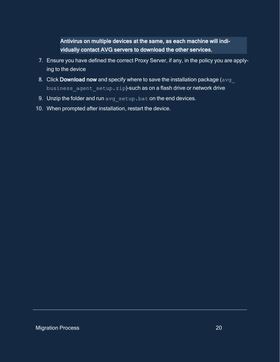Antivirus on multiple devices at the same, as each machine will individually contact AVG servers to download the other services.

- 7. Ensure you have defined the correct Proxy Server, if any, in the policy you are applying to the device
- 8. Click Download now and specify where to save the installation package ( $avg$ business agent setup.zip)-such as on a flash drive or network drive
- 9. Unzip the folder and run avg setup.bat on the end devices.
- 10. When prompted after installation, restart the device.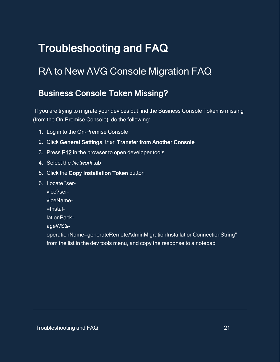# <span id="page-20-1"></span><span id="page-20-0"></span>Troubleshooting and FAQ

## <span id="page-20-2"></span>RA to New AVG Console Migration FAQ

## Business Console Token Missing?

If you are trying to migrate your devices but find the Business Console Token is missing (from the On-Premise Console), do the following:

- 1. Log in to the On-Premise Console
- 2. Click General Settings, then Transfer from Another Console
- 3. Press F12 in the browser to open developer tools
- 4. Select the Network tab
- 5. Click the Copy Installation Token button
- 6. Locate "ser
	- vice?ser-
	- viceName-
	- =Instal-
	- lationPack-
	- ageWS&-

operationName=generateRemoteAdminMigrationInstallationConnectionString" from the list in the dev tools menu, and copy the response to a notepad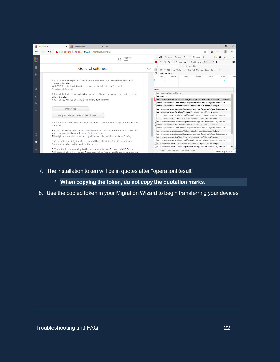|                | $\times$ +<br><b>AVG Business</b><br><b>AVG Business</b><br>$\times$                                                                                                                                                                     | $\times$<br>门                                                                                                                                                                                                                                                                                          |
|----------------|------------------------------------------------------------------------------------------------------------------------------------------------------------------------------------------------------------------------------------------|--------------------------------------------------------------------------------------------------------------------------------------------------------------------------------------------------------------------------------------------------------------------------------------------------------|
|                | Not secure   https://127.0.0.1/#settings/general<br>$\circ$                                                                                                                                                                              | ≾≒                                                                                                                                                                                                                                                                                                     |
|                | test test<br>tesst                                                                                                                                                                                                                       | R<br>Elements Console Sources Network >><br>▱                                                                                                                                                                                                                                                          |
|                |                                                                                                                                                                                                                                          | ▽ Q □ Preserve log □ Disable cache Online<br>∾<br>≈                                                                                                                                                                                                                                                    |
| n              | <b>General settings</b>                                                                                                                                                                                                                  | Hide data URLs<br>Filter<br>All XHR JS CSS Img Media Font Doc WS Manifest Other<br>Has blocked cookies                                                                                                                                                                                                 |
|                |                                                                                                                                                                                                                                          | Blocked Requests                                                                                                                                                                                                                                                                                       |
| ₽              | 1. Search for a file export.xml on the device where your AVG Remote Administration<br>console is installed:<br>With AVG Remote Administration console the file is located in: C:\Users\                                                  | 50000 ms<br>100000 ms<br>150000 ms<br>200000 ms<br>250000 ms<br>300000 ms<br>3500                                                                                                                                                                                                                      |
| Q              | [UserName]\Desktop                                                                                                                                                                                                                       | Name                                                                                                                                                                                                                                                                                                   |
| Jı,            | 2. Import the XML file. You will get an overview of how many groups and devices you're<br>able to transfer.<br>Note: Policies will also be transferred alongside the devices.                                                            | avq-business-logo-positive.svq<br>ratoavact nno<br>service?serviceName=InstallationPackageWS&operatioeRemoteAdminMigrationInstallation<br>service?serviceName=NotificationWS&operationName=getPendingNotificationCount                                                                                 |
| ⊟              | Import file                                                                                                                                                                                                                              | service?serviceName=DashboardWS&operationName=getDashboardWidgets<br>service?serviceName=DeviceWS&operationName=getDeviceHealthReportByCompanyId<br>service?serviceName=RiskCheckWS&operationName=getRiskCheckOverview                                                                                 |
|                | Copy installation token to the clipboard                                                                                                                                                                                                 | service?serviceName=NotificationWS&operationName=getPendingNotificationCount                                                                                                                                                                                                                           |
|                | Note: This installation token will be pasted into the Remote Admin migration wizard and<br>it stores it.                                                                                                                                 | service?serviceName=DashboardWS&operationName=getDashboardWidgets<br>service?serviceName=DeviceWS&operationName=getDeviceHealthReportByCompanyId<br>service?serviceName=RiskCheckWS&operationName=getRiskCheckOverview<br>service?serviceName=NotificationWS&operationName=getPendingNotificationCount |
| $\circledcirc$ | 3. Once successfully imported, devices from the AVG Remote Administration console will<br>start to appear in this console in the Devices section.<br>This might take a while and when they will appear, they will have a status Pending. | service?serviceName=DashboardWS&operationName=getDashboardWidgets<br>service?serviceName=DeviceWS&operationName=getDeviceHealthReportByCompanyId<br>service?serviceName=RiskCheckWS&operationName=getRiskCheckOverview                                                                                 |
| ٥              | 4. Once devices are fully transferred they will have the status Safe, Vulnerable, or In<br>Danger, depending on the health of the device.                                                                                                | Service?serviceName=NotificationWS&operationName=getPendingNotificationCount<br>service?serviceName=DashboardWS&operationName=getDashboardWidgets<br>service?serviceName=DeviceWS&operationName=getDeviceHealthReportByCompanyId                                                                       |
| $\gg$          | 5. You've finished transferring AVG Remote Administration Console and AVG Business<br>Editions products to the new AVG Business Antivirus Pro and AVG Business Management                                                                | 23 requests 34.9 kB transferred 366 kB resources<br>Thursday, August 13, 2020                                                                                                                                                                                                                          |

- 7. The installation token will be in quotes after "operationResult"
	- **<sup>o</sup>** When copying the token, do not copy the quotation marks.
- 8. Use the copied token in your Migration Wizard to begin transferring your devices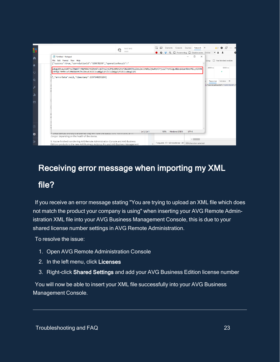

## <span id="page-22-0"></span>Receiving error message when importing my XML

## file?

If you receive an error message stating "You are trying to upload an XML file which does not match the product your company is using" when inserting your AVG Remote Administration XML file into your AVG Business Management Console, this is due to your shared license number settings in AVG Remote Administration.

To resolve the issue:

- 1. Open AVG Remote Administration Console
- 2. In the left menu, click Licenses
- 3. Right-click Shared Settings and add your AVG Business Edition license number

You will now be able to insert your XML file successfully into your AVG Business Management Console.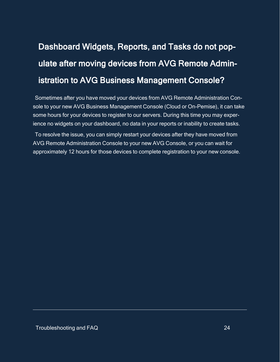# <span id="page-23-0"></span>Dashboard Widgets, Reports, and Tasks do not populate after moving devices from AVG Remote Administration to AVG Business Management Console?

Sometimes after you have moved your devices from AVG Remote Administration Console to your new AVG Business Management Console (Cloud or On-Pemise), it can take some hours for your devices to register to our servers. During this time you may experience no widgets on your dashboard, no data in your reports or inability to create tasks.

To resolve the issue, you can simply restart your devices after they have moved from AVG Remote Administration Console to your new AVG Console, or you can wait for approximately 12 hours for those devices to complete registration to your new console.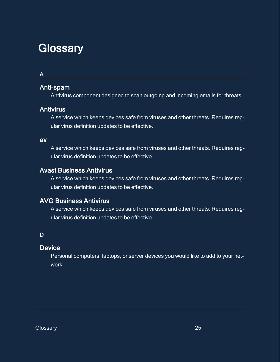# <span id="page-24-0"></span>**Glossary**

## A

## Anti-spam

Antivirus component designed to scan outgoing and incoming emails for threats.

## **Antivirus**

A service which keeps devices safe from viruses and other threats. Requires regular virus definition updates to be effective.

### av

A service which keeps devices safe from viruses and other threats. Requires regular virus definition updates to be effective.

## Avast Business Antivirus

A service which keeps devices safe from viruses and other threats. Requires regular virus definition updates to be effective.

## AVG Business Antivirus

A service which keeps devices safe from viruses and other threats. Requires regular virus definition updates to be effective.

## D

## **Device**

Personal computers, laptops, or server devices you would like to add to your network.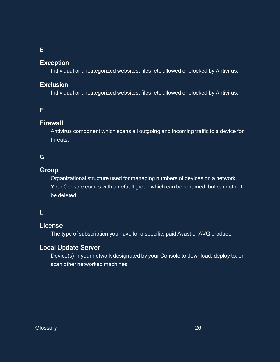### E

### Exception

Individual or uncategorized websites, files, etc allowed or blocked by Antivirus.

## Exclusion

Individual or uncategorized websites, files, etc allowed or blocked by Antivirus.

### F

## **Firewall**

Antivirus component which scans all outgoing and incoming traffic to a device for threats.

## G

## **Group**

Organizational structure used for managing numbers of devices on a network. Your Console comes with a default group which can be renamed, but cannot not be deleted.

### L

## License

The type of subscription you have for a specific, paid Avast or AVG product.

## Local Update Server

Device(s) in your network designated by your Console to download, deploy to, or scan other networked machines.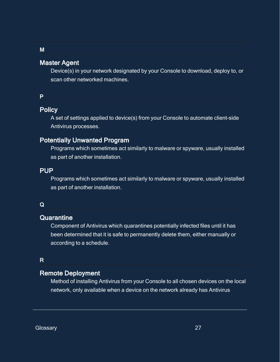## Master Agent

Device(s) in your network designated by your Console to download, deploy to, or scan other networked machines.

#### P

M

## **Policy**

A set of settings applied to device(s) from your Console to automate client-side Antivirus processes.

## Potentially Unwanted Program

Programs which sometimes act similarly to malware or spyware, usually installed as part of another installation.

### PUP

Programs which sometimes act similarly to malware or spyware, usually installed as part of another installation.

#### Q

#### **Quarantine**

Component of Antivirus which quarantines potentially infected files until it has been determined that it is safe to permanently delete them, either manually or according to a schedule.

## R

## Remote Deployment

Method of installing Antivirus from your Console to all chosen devices on the local network, only available when a device on the network already has Antivirus